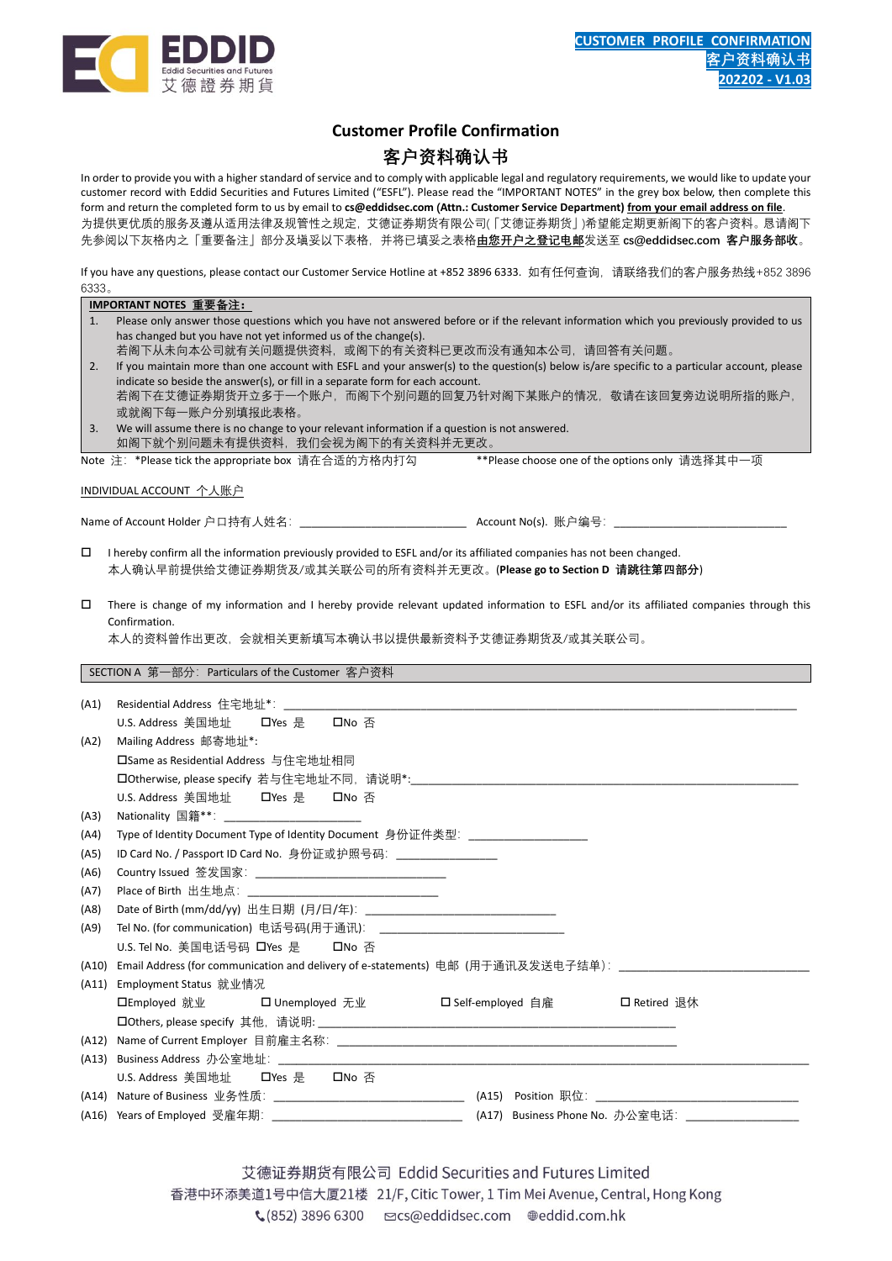

## **Customer Profile Confirmation**

## **客户资料确认书**

In order to provide you with a higher standard of service and to comply with applicable legal and regulatory requirements, we would like to update your customer record with Eddid Securities and Futures Limited ("ESFL"). Please read the "IMPORTANT NOTES" in the grey box below, then complete this form and return the completed form to us by email to **cs@eddidsec.com (Attn.: Customer Service Department) from your email address on file**. 为提供更优质的服务及遵从适用法律及规管性之规定,艾德证券期货有限公司(「艾德证券期货」)希望能定期更新阁下的客户资料。恳请阁下 先参阅以下灰格内之「重要备注」部分及塡妥以下表格,并将已填妥之表格**由您开户之登记电邮**发送至 **cs@eddidsec.com 客户服务部收**。

If you have any questions, please contact our Customer Service Hotline at +852 3896 6333. 如有任何查询,请联络我们的客户服务热线+852 3896 6333。

|                                                                                                                                                                                                                               | IMPORTANT NOTES 重要备注:                                                                                                                                                                       |                                    |  |  |  |
|-------------------------------------------------------------------------------------------------------------------------------------------------------------------------------------------------------------------------------|---------------------------------------------------------------------------------------------------------------------------------------------------------------------------------------------|------------------------------------|--|--|--|
| 1.                                                                                                                                                                                                                            | Please only answer those questions which you have not answered before or if the relevant information which you previously provided to us                                                    |                                    |  |  |  |
|                                                                                                                                                                                                                               | has changed but you have not yet informed us of the change(s).<br>若阁下从未向本公司就有关问题提供资料,或阁下的有关资料已更改而没有通知本公司,请回答有关问题。                                                                           |                                    |  |  |  |
| 2.                                                                                                                                                                                                                            |                                                                                                                                                                                             |                                    |  |  |  |
| If you maintain more than one account with ESFL and your answer(s) to the question(s) below is/are specific to a particular account, please<br>indicate so beside the answer(s), or fill in a separate form for each account. |                                                                                                                                                                                             |                                    |  |  |  |
|                                                                                                                                                                                                                               | 若阁下在艾德证券期货开立多于一个账户,而阁下个别问题的回复乃针对阁下某账户的情况,敬请在该回复旁边说明所指的账户,                                                                                                                                   |                                    |  |  |  |
|                                                                                                                                                                                                                               | 或就阁下每一账户分别填报此表格。                                                                                                                                                                            |                                    |  |  |  |
| 3.                                                                                                                                                                                                                            | We will assume there is no change to your relevant information if a question is not answered.<br>如阁下就个别问题未有提供资料,我们会视为阁下的有关资料并无更改。                                                           |                                    |  |  |  |
|                                                                                                                                                                                                                               | Note 注: *Please tick the appropriate box 请在合适的方格内打勾 ***Please choose one of the options only 请选择其中一项                                                                                        |                                    |  |  |  |
|                                                                                                                                                                                                                               |                                                                                                                                                                                             |                                    |  |  |  |
|                                                                                                                                                                                                                               | INDIVIDUAL ACCOUNT 个人账户                                                                                                                                                                     |                                    |  |  |  |
|                                                                                                                                                                                                                               |                                                                                                                                                                                             |                                    |  |  |  |
|                                                                                                                                                                                                                               |                                                                                                                                                                                             |                                    |  |  |  |
| □                                                                                                                                                                                                                             | I hereby confirm all the information previously provided to ESFL and/or its affiliated companies has not been changed.<br>本人确认早前提供给艾德证券期货及/或其关联公司的所有资料并无更改。(Please go to Section D 请跳往第四部分) |                                    |  |  |  |
|                                                                                                                                                                                                                               |                                                                                                                                                                                             |                                    |  |  |  |
| □                                                                                                                                                                                                                             | There is change of my information and I hereby provide relevant updated information to ESFL and/or its affiliated companies through this                                                    |                                    |  |  |  |
|                                                                                                                                                                                                                               | Confirmation.                                                                                                                                                                               |                                    |  |  |  |
|                                                                                                                                                                                                                               | 本人的资料曾作出更改,会就相关更新填写本确认书以提供最新资料予艾德证券期货及/或其关联公司。                                                                                                                                              |                                    |  |  |  |
|                                                                                                                                                                                                                               |                                                                                                                                                                                             |                                    |  |  |  |
|                                                                                                                                                                                                                               | SECTION A 第一部分: Particulars of the Customer 客户资料                                                                                                                                            |                                    |  |  |  |
| (A1)                                                                                                                                                                                                                          |                                                                                                                                                                                             |                                    |  |  |  |
|                                                                                                                                                                                                                               | U.S. Address 美国地址 ロYes 是 ロNo 否                                                                                                                                                              |                                    |  |  |  |
| (A2)                                                                                                                                                                                                                          | Mailing Address 邮寄地址*:                                                                                                                                                                      |                                    |  |  |  |
|                                                                                                                                                                                                                               | 口Same as Residential Address 与住宅地址相同                                                                                                                                                        |                                    |  |  |  |
|                                                                                                                                                                                                                               |                                                                                                                                                                                             |                                    |  |  |  |
|                                                                                                                                                                                                                               |                                                                                                                                                                                             |                                    |  |  |  |
| (A3)                                                                                                                                                                                                                          | Nationality 国籍**: ________________________                                                                                                                                                  |                                    |  |  |  |
| (A4)                                                                                                                                                                                                                          | Type of Identity Document Type of Identity Document  身份证件类型: ___________________                                                                                                            |                                    |  |  |  |
| (A5)                                                                                                                                                                                                                          | ID Card No. / Passport ID Card No. 身份证或护照号码: _________________                                                                                                                              |                                    |  |  |  |
| (A6)                                                                                                                                                                                                                          |                                                                                                                                                                                             |                                    |  |  |  |
| (A7)                                                                                                                                                                                                                          |                                                                                                                                                                                             |                                    |  |  |  |
| (AB)                                                                                                                                                                                                                          |                                                                                                                                                                                             |                                    |  |  |  |
| (A9)                                                                                                                                                                                                                          |                                                                                                                                                                                             |                                    |  |  |  |
|                                                                                                                                                                                                                               | U.S. Tel No. 美国电话号码 口Yes 是 ロNo 否                                                                                                                                                            |                                    |  |  |  |
|                                                                                                                                                                                                                               | (A10) Email Address (for communication and delivery of e-statements) 电邮 (用于通讯及发送电子结单):                                                                                                      |                                    |  |  |  |
|                                                                                                                                                                                                                               | (A11) Employment Status 就业情况                                                                                                                                                                |                                    |  |  |  |
|                                                                                                                                                                                                                               | □Employed 就业<br>□ Unemployed 无业                                                                                                                                                             | □ Self-employed 自雇<br>□ Retired 退休 |  |  |  |
|                                                                                                                                                                                                                               |                                                                                                                                                                                             |                                    |  |  |  |
| (A12)                                                                                                                                                                                                                         |                                                                                                                                                                                             |                                    |  |  |  |
| (A13)                                                                                                                                                                                                                         |                                                                                                                                                                                             |                                    |  |  |  |
|                                                                                                                                                                                                                               | U.S. Address 美国地址<br>□No 否<br>口Yes 是                                                                                                                                                        |                                    |  |  |  |
|                                                                                                                                                                                                                               |                                                                                                                                                                                             |                                    |  |  |  |
|                                                                                                                                                                                                                               |                                                                                                                                                                                             | (A17) Business Phone No. 办公室电话:    |  |  |  |
|                                                                                                                                                                                                                               |                                                                                                                                                                                             |                                    |  |  |  |

艾德证券期货有限公司 Eddid Securities and Futures Limited 香港中环添美道1号中信大厦21楼 21/F, Citic Tower, 1 Tim Mei Avenue, Central, Hong Kong ₹ (852) 3896 6300 mcs@eddidsec.com @eddid.com.hk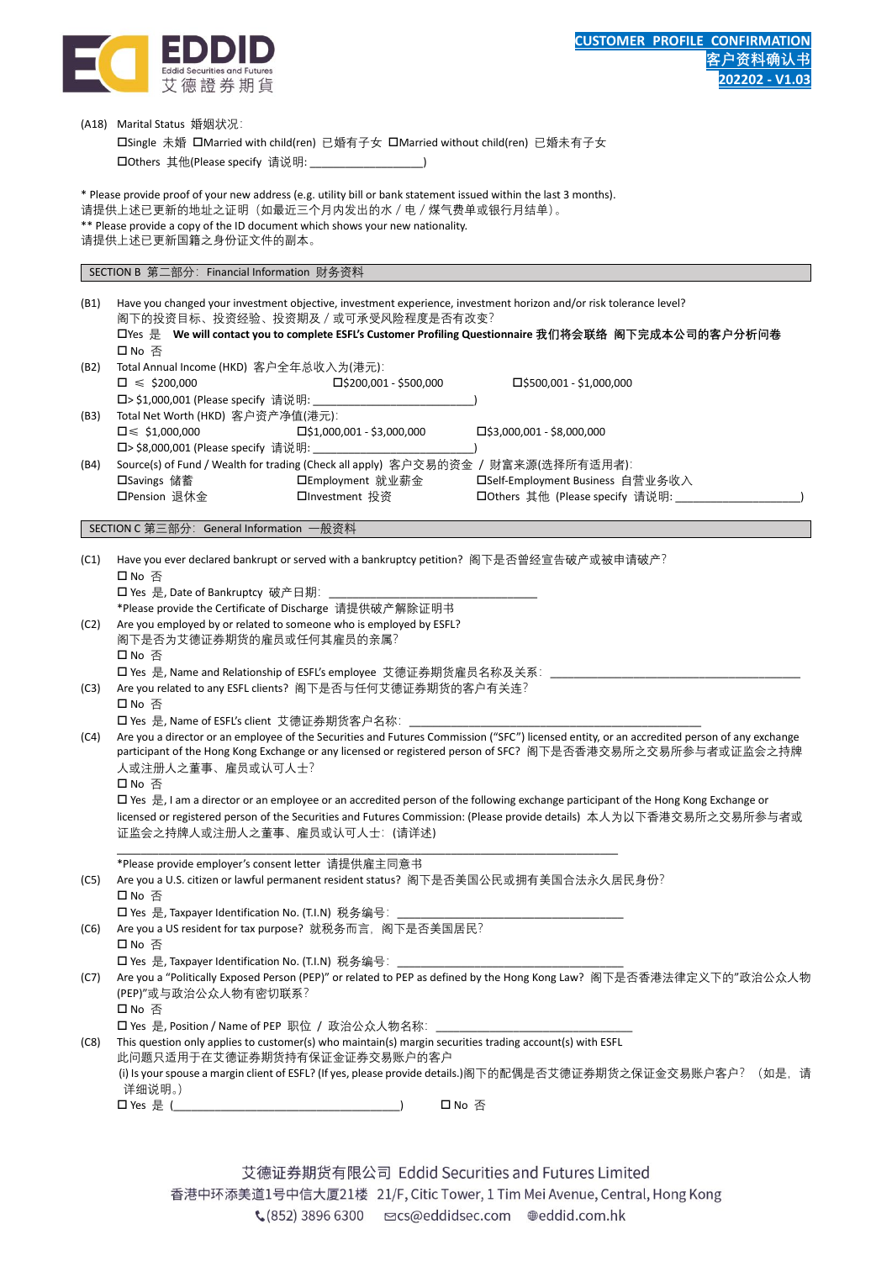

|                                                                                                                                             | (A18) Marital Status 婚姻状况:                                                                                                    |                                  |                                                                                                                                                      |  |  |
|---------------------------------------------------------------------------------------------------------------------------------------------|-------------------------------------------------------------------------------------------------------------------------------|----------------------------------|------------------------------------------------------------------------------------------------------------------------------------------------------|--|--|
|                                                                                                                                             | □Single 未婚 □Married with child(ren) 已婚有子女 □Married without child(ren) 已婚未有子女                                                  |                                  |                                                                                                                                                      |  |  |
|                                                                                                                                             | □ Others 其他(Please specify 请说明: ___________                                                                                   |                                  |                                                                                                                                                      |  |  |
|                                                                                                                                             |                                                                                                                               |                                  |                                                                                                                                                      |  |  |
|                                                                                                                                             | * Please provide proof of your new address (e.g. utility bill or bank statement issued within the last 3 months).             |                                  |                                                                                                                                                      |  |  |
|                                                                                                                                             | 请提供上述已更新的地址之证明(如最近三个月内发出的水/电/煤气费单或银行月结单)。                                                                                     |                                  |                                                                                                                                                      |  |  |
|                                                                                                                                             | ** Please provide a copy of the ID document which shows your new nationality.                                                 |                                  |                                                                                                                                                      |  |  |
|                                                                                                                                             | 请提供上述已更新国籍之身份证文件的副本。                                                                                                          |                                  |                                                                                                                                                      |  |  |
|                                                                                                                                             | SECTION B 第二部分: Financial Information 财务资料                                                                                    |                                  |                                                                                                                                                      |  |  |
|                                                                                                                                             |                                                                                                                               |                                  |                                                                                                                                                      |  |  |
| (B1)                                                                                                                                        |                                                                                                                               |                                  | Have you changed your investment objective, investment experience, investment horizon and/or risk tolerance level?                                   |  |  |
|                                                                                                                                             | 阁下的投资目标、投资经验、投资期及/或可承受风险程度是否有改变?                                                                                              |                                  |                                                                                                                                                      |  |  |
|                                                                                                                                             |                                                                                                                               |                                  | □Yes 是 We will contact you to complete ESFL's Customer Profiling Questionnaire 我们将会联络 阁下完成本公司的客户分析问卷                                                 |  |  |
|                                                                                                                                             | 口 No 否                                                                                                                        |                                  |                                                                                                                                                      |  |  |
| (B2)                                                                                                                                        | Total Annual Income (HKD) 客户全年总收入为(港元):                                                                                       |                                  |                                                                                                                                                      |  |  |
|                                                                                                                                             | $\square \leq 200,000$<br>□> \$1,000,001 (Please specify 请说明:                                                                 | □\$200,001 - \$500,000           | $\square$ \$500,001 - \$1,000,000                                                                                                                    |  |  |
| (B3)                                                                                                                                        | Total Net Worth (HKD) 客户资产净值(港元):                                                                                             |                                  |                                                                                                                                                      |  |  |
|                                                                                                                                             | $\square \leqslant$ \$1,000,000                                                                                               | $\Box$ \$1,000,001 - \$3,000,000 | $\Box$ \$3,000,001 - \$8,000,000                                                                                                                     |  |  |
|                                                                                                                                             | □> \$8,000,001 (Please specify 请说明:                                                                                           |                                  |                                                                                                                                                      |  |  |
| (B4)                                                                                                                                        |                                                                                                                               |                                  | Source(s) of Fund / Wealth for trading (Check all apply) 客户交易的资金 / 财富来源(选择所有适用者):                                                                    |  |  |
|                                                                                                                                             | □Savings 储蓄                                                                                                                   | □Employment 就业薪金                 | □Self-Employment Business 自营业务收入                                                                                                                     |  |  |
|                                                                                                                                             | □Pension 退休金                                                                                                                  | □Investment 投资                   | □ Others 其他 (Please specify 请说明:                                                                                                                     |  |  |
|                                                                                                                                             |                                                                                                                               |                                  |                                                                                                                                                      |  |  |
|                                                                                                                                             | SECTION C 第三部分: General Information 一般资料                                                                                      |                                  |                                                                                                                                                      |  |  |
| (C1)                                                                                                                                        |                                                                                                                               |                                  | Have you ever declared bankrupt or served with a bankruptcy petition? 阁下是否曾经宣告破产或被申请破产?                                                              |  |  |
|                                                                                                                                             | 口 No 否                                                                                                                        |                                  |                                                                                                                                                      |  |  |
|                                                                                                                                             | □ Yes 是, Date of Bankruptcy 破产日期:                                                                                             |                                  |                                                                                                                                                      |  |  |
|                                                                                                                                             | *Please provide the Certificate of Discharge 请提供破产解除证明书                                                                       |                                  |                                                                                                                                                      |  |  |
| (C2)                                                                                                                                        | Are you employed by or related to someone who is employed by ESFL?                                                            |                                  |                                                                                                                                                      |  |  |
|                                                                                                                                             | 阁下是否为艾德证券期货的雇员或任何其雇员的亲属?                                                                                                      |                                  |                                                                                                                                                      |  |  |
|                                                                                                                                             | 口 No 否                                                                                                                        |                                  |                                                                                                                                                      |  |  |
|                                                                                                                                             | □ Yes 是, Name and Relationship of ESFL's employee 艾德证券期货雇员名称及关系:<br>Are you related to any ESFL clients? 阁下是否与任何艾德证券期货的客户有关连? |                                  |                                                                                                                                                      |  |  |
| (C3)                                                                                                                                        | 口 No 否                                                                                                                        |                                  |                                                                                                                                                      |  |  |
|                                                                                                                                             | □ Yes 是, Name of ESFL's client 艾德证券期货客户名称:                                                                                    |                                  |                                                                                                                                                      |  |  |
| (C4)                                                                                                                                        |                                                                                                                               |                                  | Are you a director or an employee of the Securities and Futures Commission ("SFC") licensed entity, or an accredited person of any exchange          |  |  |
|                                                                                                                                             |                                                                                                                               |                                  | participant of the Hong Kong Exchange or any licensed or registered person of SFC? 阁下是否香港交易所之交易所参与者或证监会之持牌                                           |  |  |
|                                                                                                                                             | 人或注册人之董事、雇员或认可人士?                                                                                                             |                                  |                                                                                                                                                      |  |  |
|                                                                                                                                             | 口 No 否                                                                                                                        |                                  |                                                                                                                                                      |  |  |
|                                                                                                                                             |                                                                                                                               |                                  | $\Box$ Yes $\frac{1}{2}$ , I am a director or an employee or an accredited person of the following exchange participant of the Hong Kong Exchange or |  |  |
|                                                                                                                                             |                                                                                                                               |                                  | licensed or registered person of the Securities and Futures Commission: (Please provide details) 本人为以下香港交易所之交易所参与者或                                  |  |  |
|                                                                                                                                             | 证监会之持牌人或注册人之董事、雇员或认可人士: (请详述)                                                                                                 |                                  |                                                                                                                                                      |  |  |
|                                                                                                                                             | *Please provide employer's consent letter 请提供雇主同意书                                                                            |                                  |                                                                                                                                                      |  |  |
| (C5)                                                                                                                                        |                                                                                                                               |                                  | Are you a U.S. citizen or lawful permanent resident status? 阁下是否美国公民或拥有美国合法永久居民身份?                                                                   |  |  |
|                                                                                                                                             | 口 No 否                                                                                                                        |                                  |                                                                                                                                                      |  |  |
|                                                                                                                                             | □ Yes 是, Taxpayer Identification No. (T.I.N) 税务编号: ________                                                                   |                                  |                                                                                                                                                      |  |  |
| (C6)                                                                                                                                        | Are you a US resident for tax purpose? 就税务而言, 阁下是否美国居民?                                                                       |                                  |                                                                                                                                                      |  |  |
|                                                                                                                                             | 口No 否                                                                                                                         |                                  |                                                                                                                                                      |  |  |
|                                                                                                                                             | □ Yes 是, Taxpayer Identification No. (T.I.N)  税务编号: ____________________________                                              |                                  |                                                                                                                                                      |  |  |
| (C7)                                                                                                                                        |                                                                                                                               |                                  | Are you a "Politically Exposed Person (PEP)" or related to PEP as defined by the Hong Kong Law? 阁下是否香港法律定义下的"政治公众人物                                  |  |  |
|                                                                                                                                             | (PEP)"或与政治公众人物有密切联系?                                                                                                          |                                  |                                                                                                                                                      |  |  |
|                                                                                                                                             | 口 No 否                                                                                                                        |                                  |                                                                                                                                                      |  |  |
|                                                                                                                                             | <b>□ Yes</b> 是, Position / Name of PEP 职位 / 政治公众人物名称: ________________________________                                        |                                  |                                                                                                                                                      |  |  |
| (C8)                                                                                                                                        | This question only applies to customer(s) who maintain(s) margin securities trading account(s) with ESFL                      |                                  |                                                                                                                                                      |  |  |
| 此问题只适用于在艾德证券期货持有保证金证券交易账户的客户<br>(i) Is your spouse a margin client of ESFL? (If yes, please provide details.)阁下的配偶是否艾德证券期货之保证金交易账户客户? (如是,请 |                                                                                                                               |                                  |                                                                                                                                                      |  |  |
|                                                                                                                                             | 详细说明。)                                                                                                                        |                                  |                                                                                                                                                      |  |  |
|                                                                                                                                             |                                                                                                                               |                                  | 口 No 否                                                                                                                                               |  |  |
|                                                                                                                                             |                                                                                                                               |                                  |                                                                                                                                                      |  |  |